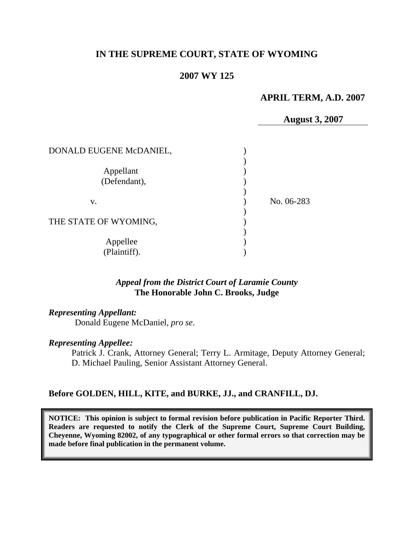# **IN THE SUPREME COURT, STATE OF WYOMING**

# **2007 WY 125**

# **APRIL TERM, A.D. 2007**

**August 3, 2007**

| DONALD EUGENE McDANIEL,   |            |
|---------------------------|------------|
| Appellant<br>(Defendant), |            |
| V.                        | No. 06-283 |
| THE STATE OF WYOMING,     |            |
| Appellee<br>(Plaintiff).  |            |

## *Appeal from the District Court of Laramie County* **The Honorable John C. Brooks, Judge**

#### *Representing Appellant:*

Donald Eugene McDaniel, *pro se*.

#### *Representing Appellee:*

Patrick J. Crank, Attorney General; Terry L. Armitage, Deputy Attorney General; D. Michael Pauling, Senior Assistant Attorney General.

## **Before GOLDEN, HILL, KITE, and BURKE, JJ., and CRANFILL, DJ.**

**NOTICE: This opinion is subject to formal revision before publication in Pacific Reporter Third. Readers are requested to notify the Clerk of the Supreme Court, Supreme Court Building, Cheyenne, Wyoming 82002, of any typographical or other formal errors so that correction may be made before final publication in the permanent volume.**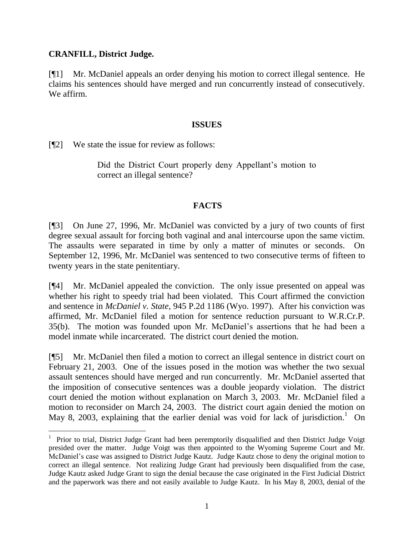## **CRANFILL, District Judge.**

[¶1] Mr. McDaniel appeals an order denying his motion to correct illegal sentence. He claims his sentences should have merged and run concurrently instead of consecutively. We affirm.

#### **ISSUES**

[¶2] We state the issue for review as follows:

Did the District Court properly deny Appellant's motion to correct an illegal sentence?

## **FACTS**

[¶3] On June 27, 1996, Mr. McDaniel was convicted by a jury of two counts of first degree sexual assault for forcing both vaginal and anal intercourse upon the same victim. The assaults were separated in time by only a matter of minutes or seconds. On September 12, 1996, Mr. McDaniel was sentenced to two consecutive terms of fifteen to twenty years in the state penitentiary.

[¶4] Mr. McDaniel appealed the conviction. The only issue presented on appeal was whether his right to speedy trial had been violated. This Court affirmed the conviction and sentence in *McDaniel v. State*, 945 P.2d 1186 (Wyo. 1997). After his conviction was affirmed, Mr. McDaniel filed a motion for sentence reduction pursuant to W.R.Cr.P. 35(b). The motion was founded upon Mr. McDaniel"s assertions that he had been a model inmate while incarcerated. The district court denied the motion.

[¶5] Mr. McDaniel then filed a motion to correct an illegal sentence in district court on February 21, 2003. One of the issues posed in the motion was whether the two sexual assault sentences should have merged and run concurrently. Mr. McDaniel asserted that the imposition of consecutive sentences was a double jeopardy violation. The district court denied the motion without explanation on March 3, 2003. Mr. McDaniel filed a motion to reconsider on March 24, 2003. The district court again denied the motion on May 8, 2003, explaining that the earlier denial was void for lack of jurisdiction.<sup>1</sup> On

<sup>&</sup>lt;sup>1</sup> Prior to trial, District Judge Grant had been peremptorily disqualified and then District Judge Voigt presided over the matter. Judge Voigt was then appointed to the Wyoming Supreme Court and Mr. McDaniel"s case was assigned to District Judge Kautz. Judge Kautz chose to deny the original motion to correct an illegal sentence. Not realizing Judge Grant had previously been disqualified from the case, Judge Kautz asked Judge Grant to sign the denial because the case originated in the First Judicial District and the paperwork was there and not easily available to Judge Kautz. In his May 8, 2003, denial of the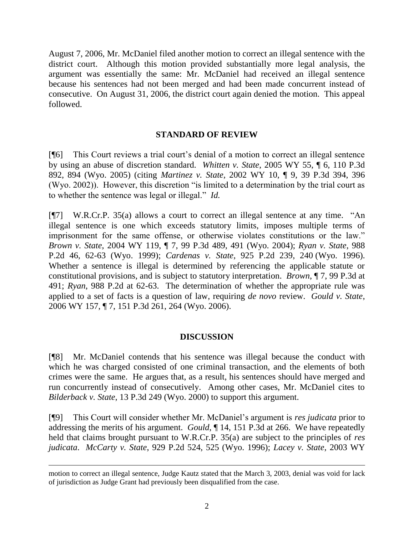August 7, 2006, Mr. McDaniel filed another motion to correct an illegal sentence with the district court. Although this motion provided substantially more legal analysis, the argument was essentially the same: Mr. McDaniel had received an illegal sentence because his sentences had not been merged and had been made concurrent instead of consecutive. On August 31, 2006, the district court again denied the motion. This appeal followed.

## **STANDARD OF REVIEW**

[¶6] This Court reviews a trial court"s denial of a motion to correct an illegal sentence by using an abuse of discretion standard. *Whitten v. State*, 2005 WY 55, ¶ 6, 110 P.3d 892, 894 (Wyo. 2005) (citing *Martinez v. State*, 2002 WY 10, ¶ 9, 39 P.3d 394, 396 (Wyo. 2002)). However, this discretion "is limited to a determination by the trial court as to whether the sentence was legal or illegal." *Id.*

[¶7] W.R.Cr.P. 35(a) allows a court to correct an illegal sentence at any time. "An illegal sentence is one which exceeds statutory limits, imposes multiple terms of imprisonment for the same offense, or otherwise violates constitutions or the law." *Brown v. State*, 2004 WY 119, ¶ 7, 99 P.3d 489, 491 (Wyo. 2004); *Ryan v. State*, 988 P.2d 46, 62-63 (Wyo. 1999); *Cardenas v. State*, 925 P.2d 239, 240 (Wyo. 1996). Whether a sentence is illegal is determined by referencing the applicable statute or constitutional provisions, and is subject to statutory interpretation. *Brown*, ¶ 7, 99 P.3d at 491; *Ryan*, 988 P.2d at 62-63. The determination of whether the appropriate rule was applied to a set of facts is a question of law, requiring *de novo* review. *Gould v. State*, 2006 WY 157, ¶ 7, 151 P.3d 261, 264 (Wyo. 2006).

#### **DISCUSSION**

[¶8] Mr. McDaniel contends that his sentence was illegal because the conduct with which he was charged consisted of one criminal transaction, and the elements of both crimes were the same. He argues that, as a result, his sentences should have merged and run concurrently instead of consecutively. Among other cases, Mr. McDaniel cites to *Bilderback v. State*, 13 P.3d 249 (Wyo. 2000) to support this argument.

[¶9] This Court will consider whether Mr. McDaniel"s argument is *res judicata* prior to addressing the merits of his argument. *Gould*, ¶ 14, 151 P.3d at 266. We have repeatedly held that claims brought pursuant to W.R.Cr.P. 35(a) are subject to the principles of *res judicata*. *McCarty v. State*, 929 P.2d 524, 525 (Wyo. 1996); *Lacey v. State*, 2003 WY

motion to correct an illegal sentence, Judge Kautz stated that the March 3, 2003, denial was void for lack of jurisdiction as Judge Grant had previously been disqualified from the case.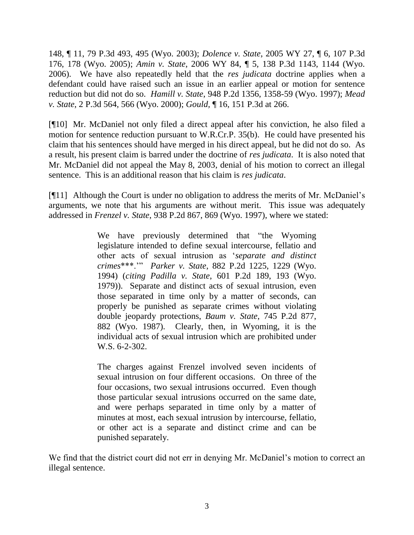148, ¶ 11, 79 P.3d 493, 495 (Wyo. 2003); *Dolence v. State*, 2005 WY 27, ¶ 6, 107 P.3d 176, 178 (Wyo. 2005); *Amin v. State*, 2006 WY 84, ¶ 5, 138 P.3d 1143, 1144 (Wyo. 2006). We have also repeatedly held that the *res judicata* doctrine applies when a defendant could have raised such an issue in an earlier appeal or motion for sentence reduction but did not do so. *Hamill v. State*, 948 P.2d 1356, 1358-59 (Wyo. 1997); *Mead v. State*, 2 P.3d 564, 566 (Wyo. 2000); *Gould,* ¶ 16, 151 P.3d at 266.

[¶10] Mr. McDaniel not only filed a direct appeal after his conviction, he also filed a motion for sentence reduction pursuant to W.R.Cr.P. 35(b). He could have presented his claim that his sentences should have merged in his direct appeal, but he did not do so. As a result, his present claim is barred under the doctrine of *res judicata*. It is also noted that Mr. McDaniel did not appeal the May 8, 2003, denial of his motion to correct an illegal sentence. This is an additional reason that his claim is *res judicata*.

[¶11] Although the Court is under no obligation to address the merits of Mr. McDaniel"s arguments, we note that his arguments are without merit. This issue was adequately addressed in *Frenzel v. State*, 938 P.2d 867, 869 (Wyo. 1997), where we stated:

> We have previously determined that "the Wyoming legislature intended to define sexual intercourse, fellatio and other acts of sexual intrusion as "*separate and distinct crimes*\*\*\*."" *Parker v. State*, 882 P.2d 1225, 1229 (Wyo. 1994) (*citing Padilla v. State*, 601 P.2d 189, 193 (Wyo. 1979)). Separate and distinct acts of sexual intrusion, even those separated in time only by a matter of seconds, can properly be punished as separate crimes without violating double jeopardy protections, *Baum v. State*, 745 P.2d 877, 882 (Wyo. 1987). Clearly, then, in Wyoming, it is the individual acts of sexual intrusion which are prohibited under W.S. 6-2-302.

> The charges against Frenzel involved seven incidents of sexual intrusion on four different occasions. On three of the four occasions, two sexual intrusions occurred. Even though those particular sexual intrusions occurred on the same date, and were perhaps separated in time only by a matter of minutes at most, each sexual intrusion by intercourse, fellatio, or other act is a separate and distinct crime and can be punished separately.

We find that the district court did not err in denying Mr. McDaniel's motion to correct an illegal sentence.